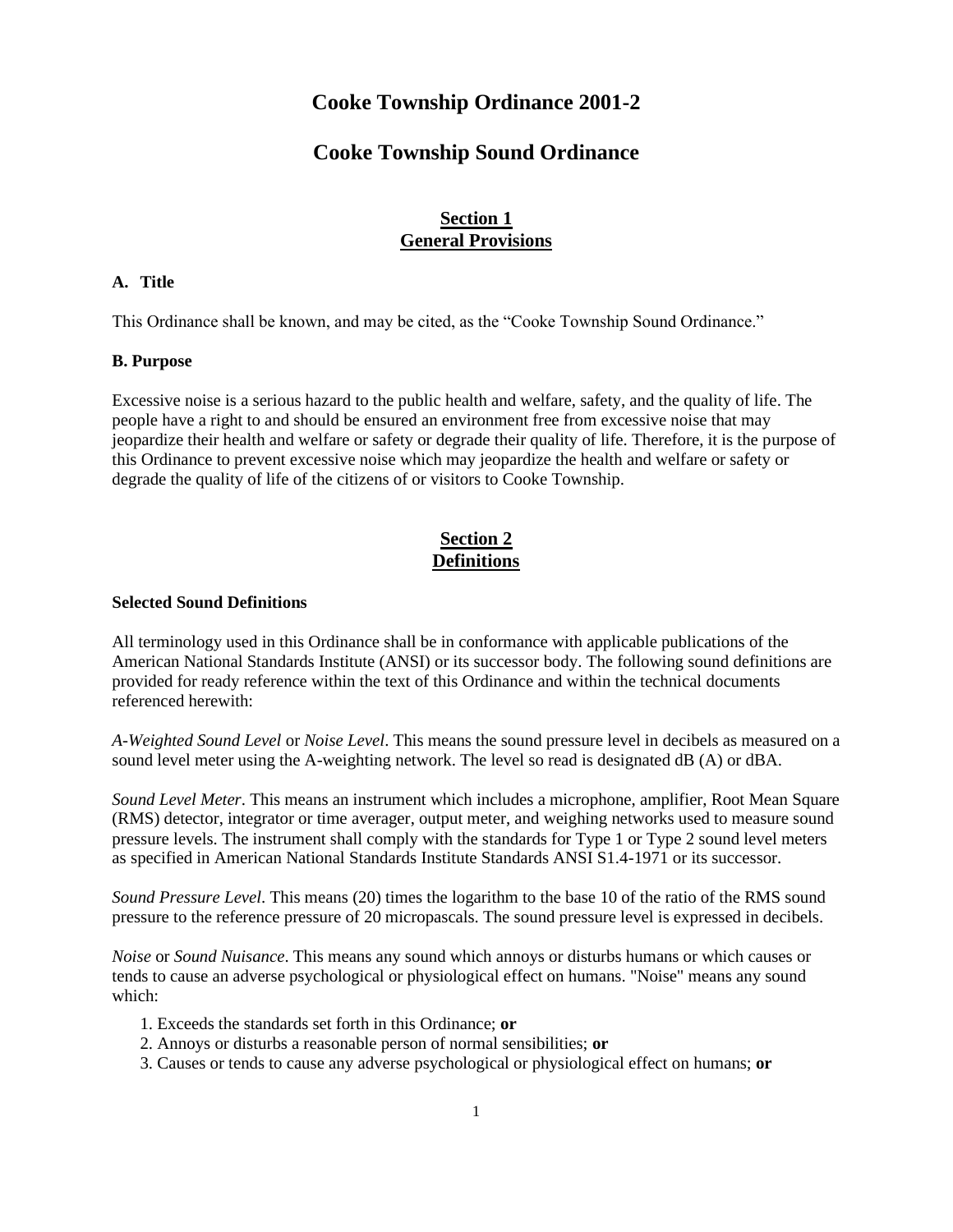# **Cooke Township Ordinance 2001-2**

# **Cooke Township Sound Ordinance**

## **Section 1 General Provisions**

## **A. Title**

This Ordinance shall be known, and may be cited, as the "Cooke Township Sound Ordinance."

#### **B. Purpose**

Excessive noise is a serious hazard to the public health and welfare, safety, and the quality of life. The people have a right to and should be ensured an environment free from excessive noise that may jeopardize their health and welfare or safety or degrade their quality of life. Therefore, it is the purpose of this Ordinance to prevent excessive noise which may jeopardize the health and welfare or safety or degrade the quality of life of the citizens of or visitors to Cooke Township.

# **Section 2 Definitions**

#### **Selected Sound Definitions**

All terminology used in this Ordinance shall be in conformance with applicable publications of the American National Standards Institute (ANSI) or its successor body. The following sound definitions are provided for ready reference within the text of this Ordinance and within the technical documents referenced herewith:

*A-Weighted Sound Level* or *Noise Level*. This means the sound pressure level in decibels as measured on a sound level meter using the A-weighting network. The level so read is designated dB (A) or dBA.

*Sound Level Meter*. This means an instrument which includes a microphone, amplifier, Root Mean Square (RMS) detector, integrator or time averager, output meter, and weighing networks used to measure sound pressure levels. The instrument shall comply with the standards for Type 1 or Type 2 sound level meters as specified in American National Standards Institute Standards ANSI S1.4-1971 or its successor.

*Sound Pressure Level*. This means (20) times the logarithm to the base 10 of the ratio of the RMS sound pressure to the reference pressure of 20 micropascals. The sound pressure level is expressed in decibels.

*Noise* or *Sound Nuisance*. This means any sound which annoys or disturbs humans or which causes or tends to cause an adverse psychological or physiological effect on humans. "Noise" means any sound which:

- 1. Exceeds the standards set forth in this Ordinance; **or**
- 2. Annoys or disturbs a reasonable person of normal sensibilities; **or**
- 3. Causes or tends to cause any adverse psychological or physiological effect on humans; **or**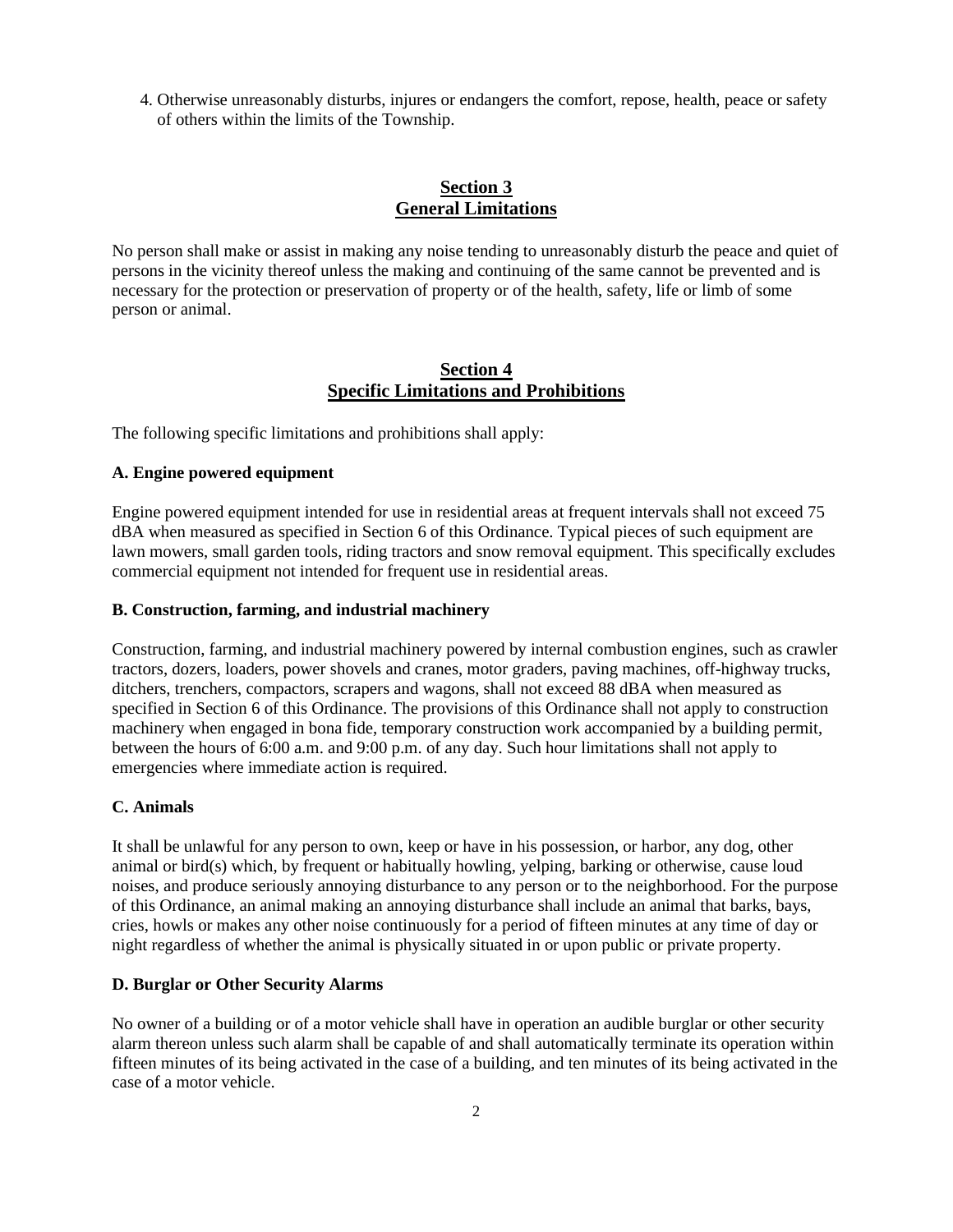4. Otherwise unreasonably disturbs, injures or endangers the comfort, repose, health, peace or safety of others within the limits of the Township.

# **Section 3 General Limitations**

No person shall make or assist in making any noise tending to unreasonably disturb the peace and quiet of persons in the vicinity thereof unless the making and continuing of the same cannot be prevented and is necessary for the protection or preservation of property or of the health, safety, life or limb of some person or animal.

## **Section 4 Specific Limitations and Prohibitions**

The following specific limitations and prohibitions shall apply:

### **A. Engine powered equipment**

Engine powered equipment intended for use in residential areas at frequent intervals shall not exceed 75 dBA when measured as specified in Section 6 of this Ordinance. Typical pieces of such equipment are lawn mowers, small garden tools, riding tractors and snow removal equipment. This specifically excludes commercial equipment not intended for frequent use in residential areas.

### **B. Construction, farming, and industrial machinery**

Construction, farming, and industrial machinery powered by internal combustion engines, such as crawler tractors, dozers, loaders, power shovels and cranes, motor graders, paving machines, off-highway trucks, ditchers, trenchers, compactors, scrapers and wagons, shall not exceed 88 dBA when measured as specified in Section 6 of this Ordinance. The provisions of this Ordinance shall not apply to construction machinery when engaged in bona fide, temporary construction work accompanied by a building permit, between the hours of 6:00 a.m. and 9:00 p.m. of any day. Such hour limitations shall not apply to emergencies where immediate action is required.

## **C. Animals**

It shall be unlawful for any person to own, keep or have in his possession, or harbor, any dog, other animal or bird(s) which, by frequent or habitually howling, yelping, barking or otherwise, cause loud noises, and produce seriously annoying disturbance to any person or to the neighborhood. For the purpose of this Ordinance, an animal making an annoying disturbance shall include an animal that barks, bays, cries, howls or makes any other noise continuously for a period of fifteen minutes at any time of day or night regardless of whether the animal is physically situated in or upon public or private property.

## **D. Burglar or Other Security Alarms**

No owner of a building or of a motor vehicle shall have in operation an audible burglar or other security alarm thereon unless such alarm shall be capable of and shall automatically terminate its operation within fifteen minutes of its being activated in the case of a building, and ten minutes of its being activated in the case of a motor vehicle.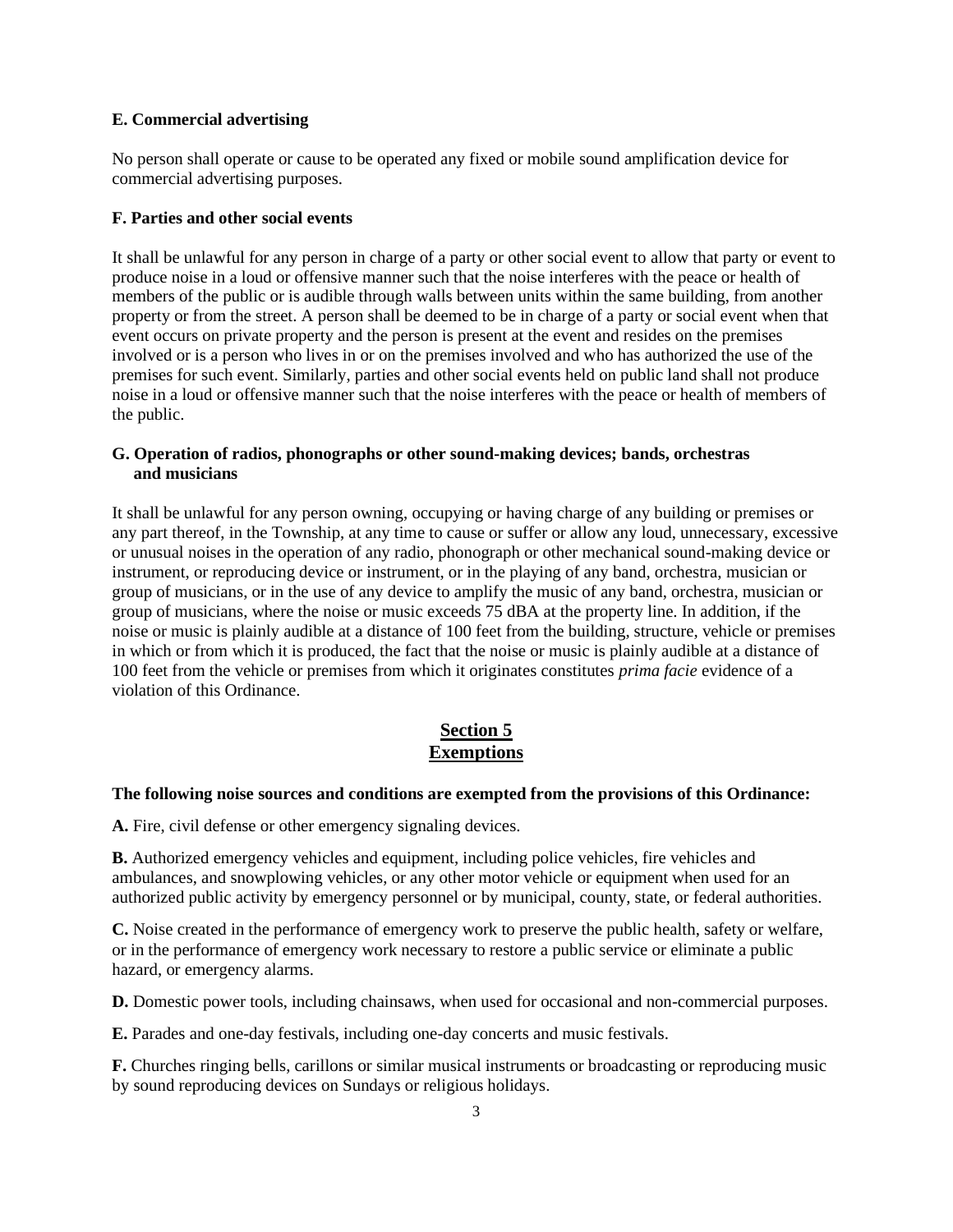### **E. Commercial advertising**

No person shall operate or cause to be operated any fixed or mobile sound amplification device for commercial advertising purposes.

## **F. Parties and other social events**

It shall be unlawful for any person in charge of a party or other social event to allow that party or event to produce noise in a loud or offensive manner such that the noise interferes with the peace or health of members of the public or is audible through walls between units within the same building, from another property or from the street. A person shall be deemed to be in charge of a party or social event when that event occurs on private property and the person is present at the event and resides on the premises involved or is a person who lives in or on the premises involved and who has authorized the use of the premises for such event. Similarly, parties and other social events held on public land shall not produce noise in a loud or offensive manner such that the noise interferes with the peace or health of members of the public.

## **G. Operation of radios, phonographs or other sound-making devices; bands, orchestras and musicians**

It shall be unlawful for any person owning, occupying or having charge of any building or premises or any part thereof, in the Township, at any time to cause or suffer or allow any loud, unnecessary, excessive or unusual noises in the operation of any radio, phonograph or other mechanical sound-making device or instrument, or reproducing device or instrument, or in the playing of any band, orchestra, musician or group of musicians, or in the use of any device to amplify the music of any band, orchestra, musician or group of musicians, where the noise or music exceeds 75 dBA at the property line. In addition, if the noise or music is plainly audible at a distance of 100 feet from the building, structure, vehicle or premises in which or from which it is produced, the fact that the noise or music is plainly audible at a distance of 100 feet from the vehicle or premises from which it originates constitutes *prima facie* evidence of a violation of this Ordinance.

# **Section 5 Exemptions**

#### **The following noise sources and conditions are exempted from the provisions of this Ordinance:**

**A.** Fire, civil defense or other emergency signaling devices.

**B.** Authorized emergency vehicles and equipment, including police vehicles, fire vehicles and ambulances, and snowplowing vehicles, or any other motor vehicle or equipment when used for an authorized public activity by emergency personnel or by municipal, county, state, or federal authorities.

**C.** Noise created in the performance of emergency work to preserve the public health, safety or welfare, or in the performance of emergency work necessary to restore a public service or eliminate a public hazard, or emergency alarms.

**D.** Domestic power tools, including chainsaws, when used for occasional and non-commercial purposes.

**E.** Parades and one-day festivals, including one-day concerts and music festivals.

**F.** Churches ringing bells, carillons or similar musical instruments or broadcasting or reproducing music by sound reproducing devices on Sundays or religious holidays.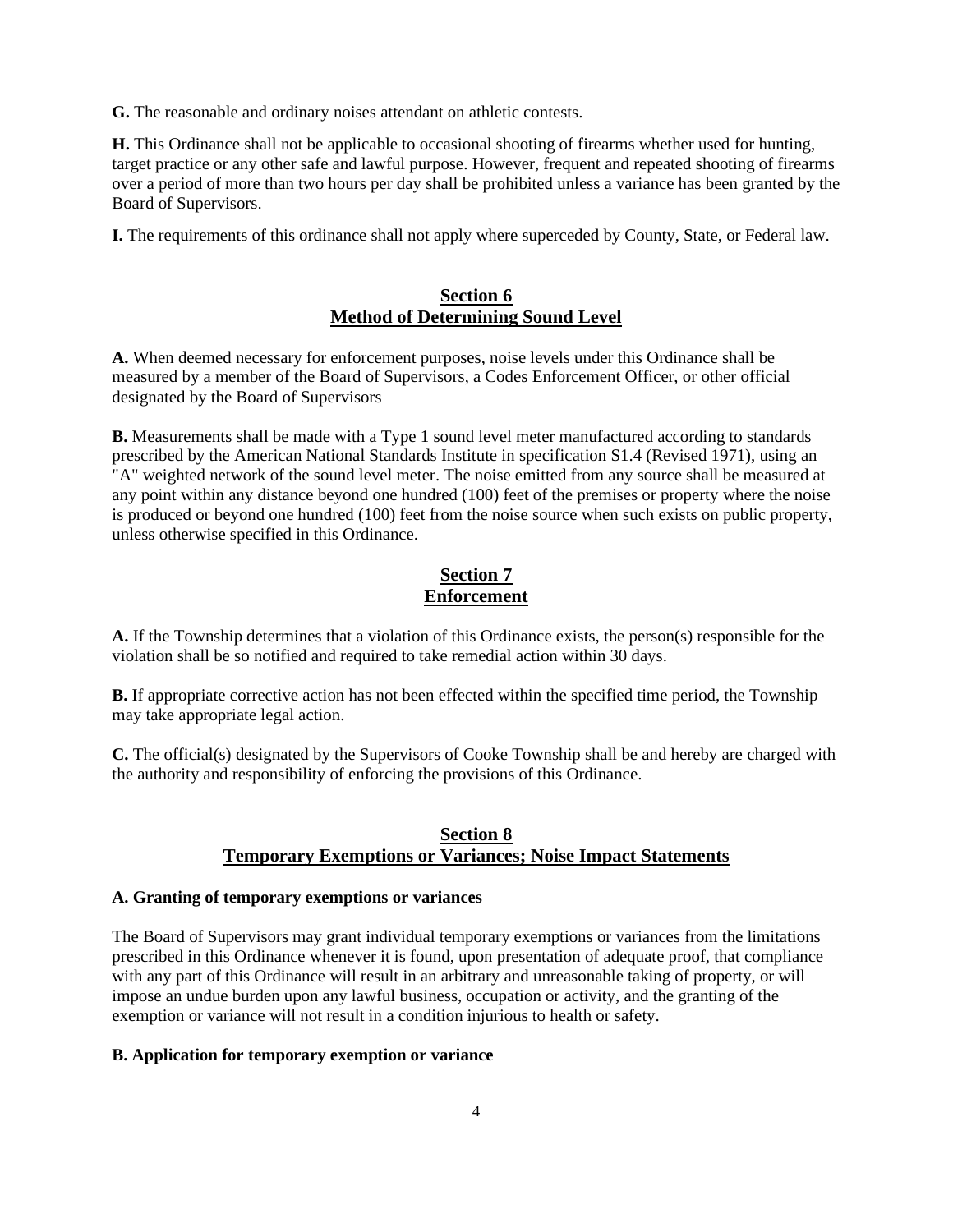**G.** The reasonable and ordinary noises attendant on athletic contests.

**H.** This Ordinance shall not be applicable to occasional shooting of firearms whether used for hunting, target practice or any other safe and lawful purpose. However, frequent and repeated shooting of firearms over a period of more than two hours per day shall be prohibited unless a variance has been granted by the Board of Supervisors.

**I.** The requirements of this ordinance shall not apply where superceded by County, State, or Federal law.

## **Section 6 Method of Determining Sound Level**

**A.** When deemed necessary for enforcement purposes, noise levels under this Ordinance shall be measured by a member of the Board of Supervisors, a Codes Enforcement Officer, or other official designated by the Board of Supervisors

**B.** Measurements shall be made with a Type 1 sound level meter manufactured according to standards prescribed by the American National Standards Institute in specification S1.4 (Revised 1971), using an "A" weighted network of the sound level meter. The noise emitted from any source shall be measured at any point within any distance beyond one hundred (100) feet of the premises or property where the noise is produced or beyond one hundred (100) feet from the noise source when such exists on public property, unless otherwise specified in this Ordinance.

## **Section 7 Enforcement**

**A.** If the Township determines that a violation of this Ordinance exists, the person(s) responsible for the violation shall be so notified and required to take remedial action within 30 days.

**B.** If appropriate corrective action has not been effected within the specified time period, the Township may take appropriate legal action.

**C.** The official(s) designated by the Supervisors of Cooke Township shall be and hereby are charged with the authority and responsibility of enforcing the provisions of this Ordinance.

## **Section 8 Temporary Exemptions or Variances; Noise Impact Statements**

### **A. Granting of temporary exemptions or variances**

The Board of Supervisors may grant individual temporary exemptions or variances from the limitations prescribed in this Ordinance whenever it is found, upon presentation of adequate proof, that compliance with any part of this Ordinance will result in an arbitrary and unreasonable taking of property, or will impose an undue burden upon any lawful business, occupation or activity, and the granting of the exemption or variance will not result in a condition injurious to health or safety.

#### **B. Application for temporary exemption or variance**